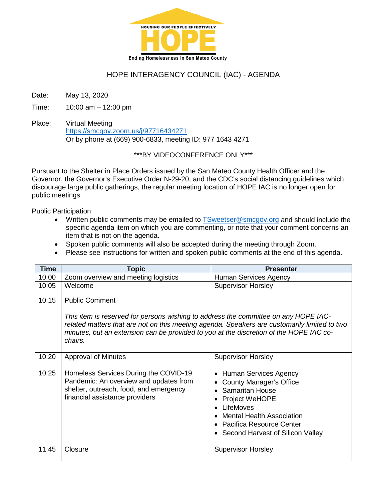

# HOPE INTERAGENCY COUNCIL (IAC) - AGENDA

Date: May 13, 2020

Time: 10:00 am – 12:00 pm

Place: Virtual Meeting <https://smcgov.zoom.us/j/97716434271> Or by phone at (669) 900-6833, meeting ID: 977 1643 4271

#### \*\*\*BY VIDEOCONFERENCE ONLY\*\*\*

Pursuant to the Shelter in Place Orders issued by the San Mateo County Health Officer and the Governor, the Governor's Executive Order N-29-20, and the CDC's social distancing guidelines which discourage large public gatherings, the regular meeting location of HOPE IAC is no longer open for public meetings.

Public Participation

- Written public comments may be emailed to [TSweetser@smcgov.org](mailto:TSweetser@smcgov.org) and should include the specific agenda item on which you are commenting, or note that your comment concerns an item that is not on the agenda.
- Spoken public comments will also be accepted during the meeting through Zoom.
- Please see instructions for written and spoken public comments at the end of this agenda.

| <b>Time</b> | Topic                                                                                                                                                                                                                                                                                                             | <b>Presenter</b>                                                                                                                                                                                                                         |
|-------------|-------------------------------------------------------------------------------------------------------------------------------------------------------------------------------------------------------------------------------------------------------------------------------------------------------------------|------------------------------------------------------------------------------------------------------------------------------------------------------------------------------------------------------------------------------------------|
| 10:00       | Zoom overview and meeting logistics                                                                                                                                                                                                                                                                               | Human Services Agency                                                                                                                                                                                                                    |
| 10:05       | Welcome                                                                                                                                                                                                                                                                                                           | <b>Supervisor Horsley</b>                                                                                                                                                                                                                |
| 10:15       | <b>Public Comment</b><br>This item is reserved for persons wishing to address the committee on any HOPE IAC-<br>related matters that are not on this meeting agenda. Speakers are customarily limited to two<br>minutes, but an extension can be provided to you at the discretion of the HOPE IAC co-<br>chairs. |                                                                                                                                                                                                                                          |
| 10:20       | <b>Approval of Minutes</b>                                                                                                                                                                                                                                                                                        | <b>Supervisor Horsley</b>                                                                                                                                                                                                                |
| 10:25       | Homeless Services During the COVID-19<br>Pandemic: An overview and updates from<br>shelter, outreach, food, and emergency<br>financial assistance providers                                                                                                                                                       | Human Services Agency<br>$\bullet$<br><b>County Manager's Office</b><br><b>Samaritan House</b><br><b>Project WeHOPE</b><br>LifeMoves<br><b>Mental Health Association</b><br>Pacifica Resource Center<br>Second Harvest of Silicon Valley |
| 11:45       | Closure                                                                                                                                                                                                                                                                                                           | <b>Supervisor Horsley</b>                                                                                                                                                                                                                |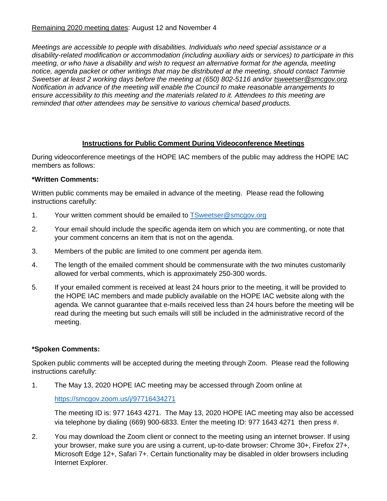### Remaining 2020 meeting dates: August 12 and November 4

*Meetings are accessible to people with disabilities. Individuals who need special assistance or a disability-related modification or accommodation (including auxiliary aids or services) to participate in this meeting, or who have a disability and wish to request an alternative format for the agenda, meeting notice, agenda packet or other writings that may be distributed at the meeting, should contact Tammie Sweetser at least 2 working days before the meeting at (650) 802-5116 and/or [tsweetser@smcgov.org.](mailto:tsweetser@smcgov.org) Notification in advance of the meeting will enable the Council to make reasonable arrangements to ensure accessibility to this meeting and the materials related to it. Attendees to this meeting are reminded that other attendees may be sensitive to various chemical based products.*

# **Instructions for Public Comment During Videoconference Meetings**

During videoconference meetings of the HOPE IAC members of the public may address the HOPE IAC members as follows:

### **\*Written Comments:**

Written public comments may be emailed in advance of the meeting. Please read the following instructions carefully:

- 1. Your written comment should be emailed to [TSweetser@smcgov.org](mailto:TSweetser@smcgov.org)
- 2. Your email should include the specific agenda item on which you are commenting, or note that your comment concerns an item that is not on the agenda.
- 3. Members of the public are limited to one comment per agenda item.
- 4. The length of the emailed comment should be commensurate with the two minutes customarily allowed for verbal comments, which is approximately 250-300 words.
- 5. If your emailed comment is received at least 24 hours prior to the meeting, it will be provided to the HOPE IAC members and made publicly available on the HOPE IAC website along with the agenda. We cannot guarantee that e-mails received less than 24 hours before the meeting will be read during the meeting but such emails will still be included in the administrative record of the meeting.

# **\*Spoken Comments:**

Spoken public comments will be accepted during the meeting through Zoom. Please read the following instructions carefully:

1. The May 13, 2020 HOPE IAC meeting may be accessed through Zoom online at

#### <https://smcgov.zoom.us/j/97716434271>

The meeting ID is: 977 1643 4271. The May 13, 2020 HOPE IAC meeting may also be accessed via telephone by dialing (669) 900-6833. Enter the meeting ID: 977 1643 4271 then press #.

2. You may download the Zoom client or connect to the meeting using an internet browser. If using your browser, make sure you are using a current, up-to-date browser: Chrome 30+, Firefox 27+, Microsoft Edge 12+, Safari 7+. Certain functionality may be disabled in older browsers including Internet Explorer.